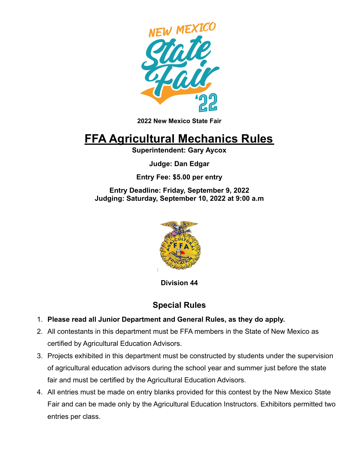

**2022 New Mexico State Fair**

## **FFA Agricultural Mechanics Rules**

**Superintendent: Gary Aycox**

**Judge: Dan Edgar**

**Entry Fee: \$5.00 per entry**

**Entry Deadline: Friday, September 9, 2022 Judging: Saturday, September 10, 2022 at 9:00 a.m**



**Division 44**

## **Special Rules**

- 1. **Please read all Junior Department and General Rules, as they do apply.**
- 2. All contestants in this department must be FFA members in the State of New Mexico as certified by Agricultural Education Advisors.
- 3. Projects exhibited in this department must be constructed by students under the supervision of agricultural education advisors during the school year and summer just before the state fair and must be certified by the Agricultural Education Advisors.
- 4. All entries must be made on entry blanks provided for this contest by the New Mexico State Fair and can be made only by the Agricultural Education Instructors. Exhibitors permitted two entries per class.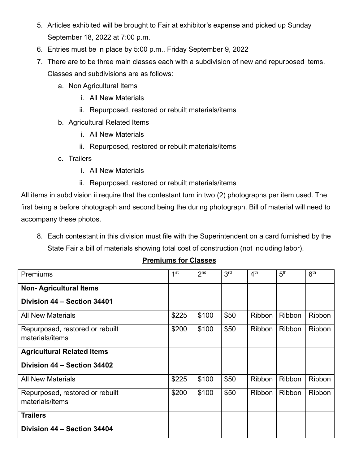- 5. Articles exhibited will be brought to Fair at exhibitor's expense and picked up Sunday September 18, 2022 at 7:00 p.m.
- 6. Entries must be in place by 5:00 p.m., Friday September 9, 2022
- 7. There are to be three main classes each with a subdivision of new and repurposed items. Classes and subdivisions are as follows:
	- a. Non Agricultural Items
		- i. All New Materials
		- ii. Repurposed, restored or rebuilt materials/items
	- b. Agricultural Related Items
		- i. All New Materials
		- ii. Repurposed, restored or rebuilt materials/items
	- c. Trailers
		- i. All New Materials
		- ii. Repurposed, restored or rebuilt materials/items

All items in subdivision ii require that the contestant turn in two (2) photographs per item used. The first being a before photograph and second being the during photograph. Bill of material will need to accompany these photos.

8. Each contestant in this division must file with the Superintendent on a card furnished by the State Fair a bill of materials showing total cost of construction (not including labor).

**Premiums for Classes**

| Premiums                                           | 1 <sup>st</sup> | 2 <sub>nd</sub> | 3 <sup>rd</sup> | 4 <sup>th</sup> | 5 <sup>th</sup> | 6 <sup>th</sup> |
|----------------------------------------------------|-----------------|-----------------|-----------------|-----------------|-----------------|-----------------|
| <b>Non-Agricultural Items</b>                      |                 |                 |                 |                 |                 |                 |
| Division 44 - Section 34401                        |                 |                 |                 |                 |                 |                 |
| <b>All New Materials</b>                           | \$225           | \$100           | \$50            | Ribbon          | <b>Ribbon</b>   | Ribbon          |
| Repurposed, restored or rebuilt<br>materials/items | \$200           | \$100           | \$50            | <b>Ribbon</b>   | <b>Ribbon</b>   | <b>Ribbon</b>   |
| <b>Agricultural Related Items</b>                  |                 |                 |                 |                 |                 |                 |
| Division 44 - Section 34402                        |                 |                 |                 |                 |                 |                 |
| <b>All New Materials</b>                           | \$225           | \$100           | \$50            | <b>Ribbon</b>   | <b>Ribbon</b>   | <b>Ribbon</b>   |
| Repurposed, restored or rebuilt<br>materials/items | \$200           | \$100           | \$50            | <b>Ribbon</b>   | <b>Ribbon</b>   | <b>Ribbon</b>   |
| <b>Trailers</b>                                    |                 |                 |                 |                 |                 |                 |
| Division 44 - Section 34404                        |                 |                 |                 |                 |                 |                 |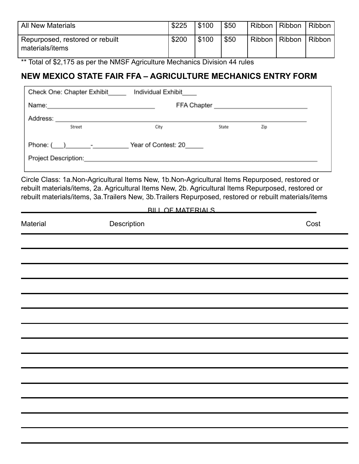| <b>All New Materials</b>                           | \$225 | \$100 | \$50 | Ribbon | Ribbon | Ribbon  |
|----------------------------------------------------|-------|-------|------|--------|--------|---------|
| Repurposed, restored or rebuilt<br>materials/items | \$200 | \$100 | \$50 | Ribbon | Ribbon | Ribbon, |

\*\* Total of \$2,175 as per the NMSF Agriculture Mechanics Division 44 rules

## **NEW MEXICO STATE FAIR FFA – AGRICULTURE MECHANICS ENTRY FORM**

| Check One: Chapter Exhibit                                                          | Individual Exhibit |             |     |  |  |
|-------------------------------------------------------------------------------------|--------------------|-------------|-----|--|--|
| Name:<br>the control of the control of the control of the control of the control of |                    | FFA Chapter |     |  |  |
| Address:                                                                            |                    |             |     |  |  |
| Street                                                                              | City               | State       | Zip |  |  |
| Year of Contest: 20<br>Phone: $($ ) $-$<br>Project Description:                     |                    |             |     |  |  |
|                                                                                     |                    |             |     |  |  |

Circle Class: 1a.Non-Agricultural Items New, 1b.Non-Agricultural Items Repurposed, restored or rebuilt materials/items, 2a. Agricultural Items New, 2b. Agricultural Items Repurposed, restored or rebuilt materials/items, 3a.Trailers New, 3b.Trailers Repurposed, restored or rebuilt materials/items

|          | <b>BILL OF MATERIALS</b> |      |
|----------|--------------------------|------|
| Material | Description              | Cost |
|          |                          |      |
|          |                          |      |
|          |                          |      |
|          |                          |      |
|          |                          |      |
|          |                          |      |
|          |                          |      |
|          |                          |      |
|          |                          |      |
|          |                          |      |
|          |                          |      |
|          |                          |      |
|          |                          |      |
|          |                          |      |